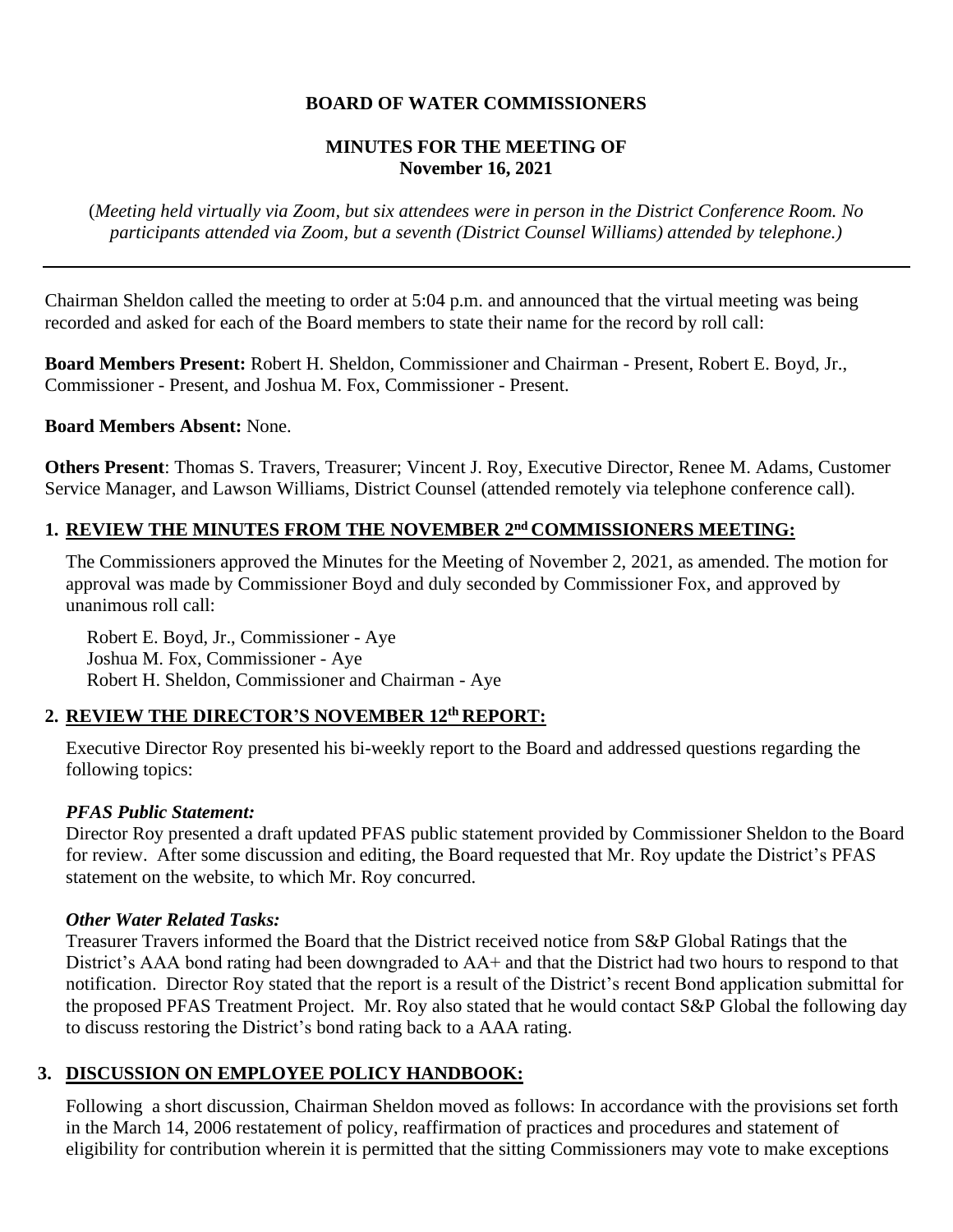# **BOARD OF WATER COMMISSIONERS**

# **MINUTES FOR THE MEETING OF November 16, 2021**

(*Meeting held virtually via Zoom, but six attendees were in person in the District Conference Room. No participants attended via Zoom, but a seventh (District Counsel Williams) attended by telephone.)*

Chairman Sheldon called the meeting to order at 5:04 p.m. and announced that the virtual meeting was being recorded and asked for each of the Board members to state their name for the record by roll call:

**Board Members Present:** Robert H. Sheldon, Commissioner and Chairman - Present, Robert E. Boyd, Jr., Commissioner - Present, and Joshua M. Fox, Commissioner - Present.

#### **Board Members Absent:** None.

**Others Present**: Thomas S. Travers, Treasurer; Vincent J. Roy, Executive Director, Renee M. Adams, Customer Service Manager, and Lawson Williams, District Counsel (attended remotely via telephone conference call).

# 1. REVIEW THE MINUTES FROM THE NOVEMBER 2<sup>nd</sup> COMMISSIONERS MEETING:

The Commissioners approved the Minutes for the Meeting of November 2, 2021, as amended. The motion for approval was made by Commissioner Boyd and duly seconded by Commissioner Fox, and approved by unanimous roll call:

Robert E. Boyd, Jr., Commissioner - Aye Joshua M. Fox, Commissioner - Aye Robert H. Sheldon, Commissioner and Chairman - Aye

# **2. REVIEW THE DIRECTOR'S NOVEMBER 12th REPORT:**

Executive Director Roy presented his bi-weekly report to the Board and addressed questions regarding the following topics:

#### *PFAS Public Statement:*

Director Roy presented a draft updated PFAS public statement provided by Commissioner Sheldon to the Board for review. After some discussion and editing, the Board requested that Mr. Roy update the District's PFAS statement on the website, to which Mr. Roy concurred.

#### *Other Water Related Tasks:*

Treasurer Travers informed the Board that the District received notice from S&P Global Ratings that the District's AAA bond rating had been downgraded to AA+ and that the District had two hours to respond to that notification. Director Roy stated that the report is a result of the District's recent Bond application submittal for the proposed PFAS Treatment Project. Mr. Roy also stated that he would contact S&P Global the following day to discuss restoring the District's bond rating back to a AAA rating.

# **3. DISCUSSION ON EMPLOYEE POLICY HANDBOOK:**

Following a short discussion, Chairman Sheldon moved as follows: In accordance with the provisions set forth in the March 14, 2006 restatement of policy, reaffirmation of practices and procedures and statement of eligibility for contribution wherein it is permitted that the sitting Commissioners may vote to make exceptions